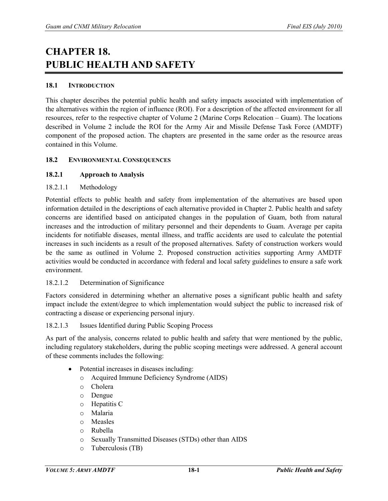# **CHAPTER 18. PUBLIC HEALTH AND SAFETY**

#### **18.1 INTRODUCTION**

This chapter describes the potential public health and safety impacts associated with implementation of the alternatives within the region of influence (ROI). For a description of the affected environment for all resources, refer to the respective chapter of Volume 2 (Marine Corps Relocation – Guam). The locations described in Volume 2 include the ROI for the Army Air and Missile Defense Task Force (AMDTF) component of the proposed action. The chapters are presented in the same order as the resource areas contained in this Volume.

#### **18.2 ENVIRONMENTAL CONSEQUENCES**

#### **18.2.1 Approach to Analysis**

#### 18.2.1.1 Methodology

Potential effects to public health and safety from implementation of the alternatives are based upon information detailed in the descriptions of each alternative provided in Chapter 2. Public health and safety concerns are identified based on anticipated changes in the population of Guam, both from natural increases and the introduction of military personnel and their dependents to Guam. Average per capita incidents for notifiable diseases, mental illness, and traffic accidents are used to calculate the potential increases in such incidents as a result of the proposed alternatives. Safety of construction workers would be the same as outlined in Volume 2. Proposed construction activities supporting Army AMDTF activities would be conducted in accordance with federal and local safety guidelines to ensure a safe work environment.

#### 18.2.1.2 Determination of Significance

Factors considered in determining whether an alternative poses a significant public health and safety impact include the extent/degree to which implementation would subject the public to increased risk of contracting a disease or experiencing personal injury.

#### 18.2.1.3 Issues Identified during Public Scoping Process

As part of the analysis, concerns related to public health and safety that were mentioned by the public, including regulatory stakeholders, during the public scoping meetings were addressed. A general account of these comments includes the following:

- Potential increases in diseases including:
	- o Acquired Immune Deficiency Syndrome (AIDS)
	- o Cholera
	- o Dengue
	- o Hepatitis C
	- o Malaria
	- o Measles
	- o Rubella
	- o Sexually Transmitted Diseases (STDs) other than AIDS
	- o Tuberculosis (TB)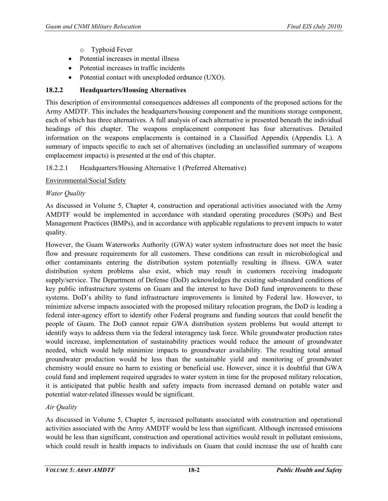- o Typhoid Fever
- Potential increases in mental illness
- Potential increases in traffic incidents
- Potential contact with unexploded ordnance (UXO).

# **18.2.2 Headquarters/Housing Alternatives**

This description of environmental consequences addresses all components of the proposed actions for the Army AMDTF. This includes the headquarters/housing component and the munitions storage component, each of which has three alternatives. A full analysis of each alternative is presented beneath the individual headings of this chapter. The weapons emplacement component has four alternatives. Detailed information on the weapons emplacements is contained in a Classified Appendix (Appendix L). A summary of impacts specific to each set of alternatives (including an unclassified summary of weapons emplacement impacts) is presented at the end of this chapter.

# 18.2.2.1 Headquarters/Housing Alternative 1 (Preferred Alternative)

Environmental/Social Safety

# *Water Quality*

As discussed in Volume 5, Chapter 4, construction and operational activities associated with the Army AMDTF would be implemented in accordance with standard operating procedures (SOPs) and Best Management Practices (BMPs), and in accordance with applicable regulations to prevent impacts to water quality.

However, the Guam Waterworks Authority (GWA) water system infrastructure does not meet the basic flow and pressure requirements for all customers. These conditions can result in microbiological and other contaminants entering the distribution system potentially resulting in illness. GWA water distribution system problems also exist, which may result in customers receiving inadequate supply/service. The Department of Defense (DoD) acknowledges the existing sub-standard conditions of key public infrastructure systems on Guam and the interest to have DoD fund improvements to these systems. DoD's ability to fund infrastructure improvements is limited by Federal law. However, to minimize adverse impacts associated with the proposed military relocation program, the DoD is leading a federal inter-agency effort to identify other Federal programs and funding sources that could benefit the people of Guam. The DoD cannot repair GWA distribution system problems but would attempt to identify ways to address them via the federal interagency task force. While groundwater production rates would increase, implementation of sustainability practices would reduce the amount of groundwater needed, which would help minimize impacts to groundwater availability. The resulting total annual groundwater production would be less than the sustainable yield and monitoring of groundwater chemistry would ensure no harm to existing or beneficial use. However, since it is doubtful that GWA could fund and implement required upgrades to water system in time for the proposed military relocation, it is anticipated that public health and safety impacts from increased demand on potable water and potential water-related illnesses would be significant.

# *Air Quality*

As discussed in Volume 5, Chapter 5, increased pollutants associated with construction and operational activities associated with the Army AMDTF would be less than significant. Although increased emissions would be less than significant, construction and operational activities would result in pollutant emissions, which could result in health impacts to individuals on Guam that could increase the use of health care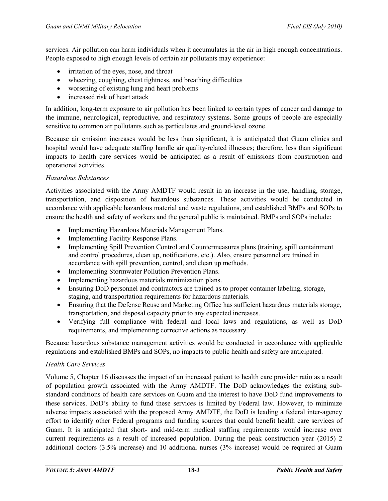services. Air pollution can harm individuals when it accumulates in the air in high enough concentrations. People exposed to high enough levels of certain air pollutants may experience:

- irritation of the eyes, nose, and throat
- wheezing, coughing, chest tightness, and breathing difficulties
- worsening of existing lung and heart problems
- increased risk of heart attack

In addition, long-term exposure to air pollution has been linked to certain types of cancer and damage to the immune, neurological, reproductive, and respiratory systems. Some groups of people are especially sensitive to common air pollutants such as particulates and ground-level ozone.

Because air emission increases would be less than significant, it is anticipated that Guam clinics and hospital would have adequate staffing handle air quality-related illnesses; therefore, less than significant impacts to health care services would be anticipated as a result of emissions from construction and operational activities.

#### *Hazardous Substances*

Activities associated with the Army AMDTF would result in an increase in the use, handling, storage, transportation, and disposition of hazardous substances. These activities would be conducted in accordance with applicable hazardous material and waste regulations, and established BMPs and SOPs to ensure the health and safety of workers and the general public is maintained. BMPs and SOPs include:

- Implementing Hazardous Materials Management Plans.
- Implementing Facility Response Plans.
- Implementing Spill Prevention Control and Countermeasures plans (training, spill containment and control procedures, clean up, notifications, etc.). Also, ensure personnel are trained in accordance with spill prevention, control, and clean up methods.
- Implementing Stormwater Pollution Prevention Plans.
- Implementing hazardous materials minimization plans.
- Ensuring DoD personnel and contractors are trained as to proper container labeling, storage, staging, and transportation requirements for hazardous materials.
- Ensuring that the Defense Reuse and Marketing Office has sufficient hazardous materials storage, transportation, and disposal capacity prior to any expected increases.
- Verifying full compliance with federal and local laws and regulations, as well as DoD requirements, and implementing corrective actions as necessary.

Because hazardous substance management activities would be conducted in accordance with applicable regulations and established BMPs and SOPs, no impacts to public health and safety are anticipated.

#### *Health Care Services*

Volume 5, Chapter 16 discusses the impact of an increased patient to health care provider ratio as a result of population growth associated with the Army AMDTF. The DoD acknowledges the existing substandard conditions of health care services on Guam and the interest to have DoD fund improvements to these services. DoD's ability to fund these services is limited by Federal law. However, to minimize adverse impacts associated with the proposed Army AMDTF, the DoD is leading a federal inter-agency effort to identify other Federal programs and funding sources that could benefit health care services of Guam. It is anticipated that short- and mid-term medical staffing requirements would increase over current requirements as a result of increased population. During the peak construction year (2015) 2 additional doctors (3.5% increase) and 10 additional nurses (3% increase) would be required at Guam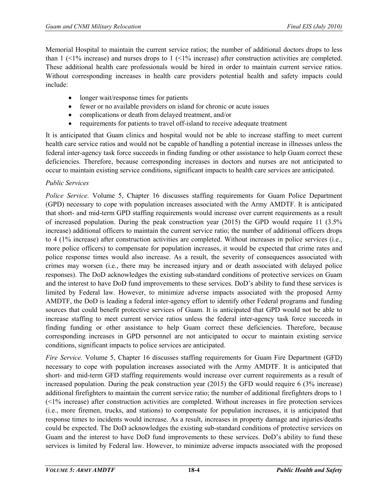Memorial Hospital to maintain the current service ratios; the number of additional doctors drops to less than  $1$  ( $\leq$ 1% increase) and nurses drops to  $1$  ( $\leq$ 1% increase) after construction activities are completed. These additional health care professionals would be hired in order to maintain current service ratios. Without corresponding increases in health care providers potential health and safety impacts could include:

- longer wait/response times for patients
- fewer or no available providers on island for chronic or acute issues
- complications or death from delayed treatment, and/or
- requirements for patients to travel off-island to receive adequate treatment

It is anticipated that Guam clinics and hospital would not be able to increase staffing to meet current health care service ratios and would not be capable of handling a potential increase in illnesses unless the federal inter-agency task force succeeds in finding funding or other assistance to help Guam correct these deficiencies. Therefore, because corresponding increases in doctors and nurses are not anticipated to occur to maintain existing service conditions, significant impacts to health care services are anticipated.

#### *Public Services*

*Police Service.* Volume 5, Chapter 16 discusses staffing requirements for Guam Police Department (GPD) necessary to cope with population increases associated with the Army AMDTF. It is anticipated that short- and mid-term GPD staffing requirements would increase over current requirements as a result of increased population. During the peak construction year (2015) the GPD would require 11 (3.5% increase) additional officers to maintain the current service ratio; the number of additional officers drops to 4 (1% increase) after construction activities are completed. Without increases in police services (i.e., more police officers) to compensate for population increases, it would be expected that crime rates and police response times would also increase. As a result, the severity of consequences associated with crimes may worsen (i.e., there may be increased injury and or death associated with delayed police responses). The DoD acknowledges the existing sub-standard conditions of protective services on Guam and the interest to have DoD fund improvements to these services. DoD's ability to fund these services is limited by Federal law. However, to minimize adverse impacts associated with the proposed Army AMDTF, the DoD is leading a federal inter-agency effort to identify other Federal programs and funding sources that could benefit protective services of Guam. It is anticipated that GPD would not be able to increase staffing to meet current service ratios unless the federal inter-agency task force succeeds in finding funding or other assistance to help Guam correct these deficiencies. Therefore, because corresponding increases in GPD personnel are not anticipated to occur to maintain existing service conditions, significant impacts to police services are anticipated.

*Fire Service.* Volume 5, Chapter 16 discusses staffing requirements for Guam Fire Department (GFD) necessary to cope with population increases associated with the Army AMDTF. It is anticipated that short- and mid-term GFD staffing requirements would increase over current requirements as a result of increased population. During the peak construction year (2015) the GFD would require 6 (3% increase) additional firefighters to maintain the current service ratio; the number of additional firefighters drops to 1 (<1% increase) after construction activities are completed. Without increases in fire protection services (i.e., more firemen, trucks, and stations) to compensate for population increases, it is anticipated that response times to incidents would increase. As a result, increases in property damage and injuries/deaths could be expected. The DoD acknowledges the existing sub-standard conditions of protective services on Guam and the interest to have DoD fund improvements to these services. DoD's ability to fund these services is limited by Federal law. However, to minimize adverse impacts associated with the proposed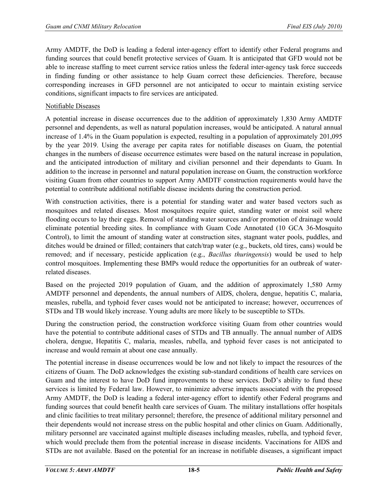Army AMDTF, the DoD is leading a federal inter-agency effort to identify other Federal programs and funding sources that could benefit protective services of Guam. It is anticipated that GFD would not be able to increase staffing to meet current service ratios unless the federal inter-agency task force succeeds in finding funding or other assistance to help Guam correct these deficiencies. Therefore, because corresponding increases in GFD personnel are not anticipated to occur to maintain existing service conditions, significant impacts to fire services are anticipated.

#### Notifiable Diseases

A potential increase in disease occurrences due to the addition of approximately 1,830 Army AMDTF personnel and dependents, as well as natural population increases, would be anticipated. A natural annual increase of 1.4% in the Guam population is expected, resulting in a population of approximately 201,095 by the year 2019. Using the average per capita rates for notifiable diseases on Guam, the potential changes in the numbers of disease occurrence estimates were based on the natural increase in population, and the anticipated introduction of military and civilian personnel and their dependants to Guam. In addition to the increase in personnel and natural population increase on Guam, the construction workforce visiting Guam from other countries to support Army AMDTF construction requirements would have the potential to contribute additional notifiable disease incidents during the construction period.

With construction activities, there is a potential for standing water and water based vectors such as mosquitoes and related diseases. Most mosquitoes require quiet, standing water or moist soil where flooding occurs to lay their eggs. Removal of standing water sources and/or promotion of drainage would eliminate potential breeding sites. In compliance with Guam Code Annotated (10 GCA 36-Mosquito Control), to limit the amount of standing water at construction sites, stagnant water pools, puddles, and ditches would be drained or filled; containers that catch/trap water (e.g., buckets, old tires, cans) would be removed; and if necessary, pesticide application (e.g., *Bacillus thuringensis*) would be used to help control mosquitoes. Implementing these BMPs would reduce the opportunities for an outbreak of waterrelated diseases.

Based on the projected 2019 population of Guam, and the addition of approximately 1,580 Army AMDTF personnel and dependents, the annual numbers of AIDS, cholera, dengue, hepatitis C, malaria, measles, rubella, and typhoid fever cases would not be anticipated to increase; however, occurrences of STDs and TB would likely increase. Young adults are more likely to be susceptible to STDs.

During the construction period, the construction workforce visiting Guam from other countries would have the potential to contribute additional cases of STDs and TB annually. The annual number of AIDS cholera, dengue, Hepatitis C, malaria, measles, rubella, and typhoid fever cases is not anticipated to increase and would remain at about one case annually.

The potential increase in disease occurrences would be low and not likely to impact the resources of the citizens of Guam. The DoD acknowledges the existing sub-standard conditions of health care services on Guam and the interest to have DoD fund improvements to these services. DoD's ability to fund these services is limited by Federal law. However, to minimize adverse impacts associated with the proposed Army AMDTF, the DoD is leading a federal inter-agency effort to identify other Federal programs and funding sources that could benefit health care services of Guam. The military installations offer hospitals and clinic facilities to treat military personnel; therefore, the presence of additional military personnel and their dependents would not increase stress on the public hospital and other clinics on Guam. Additionally, military personnel are vaccinated against multiple diseases including measles, rubella, and typhoid fever, which would preclude them from the potential increase in disease incidents. Vaccinations for AIDS and STDs are not available. Based on the potential for an increase in notifiable diseases, a significant impact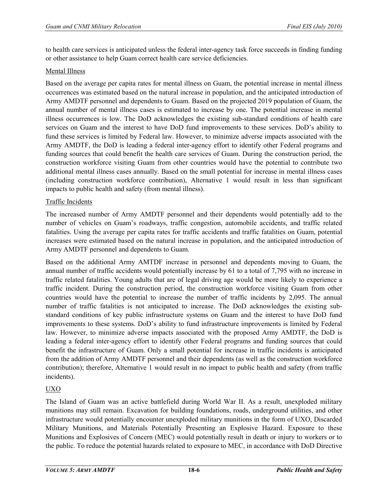to health care services is anticipated unless the federal inter-agency task force succeeds in finding funding or other assistance to help Guam correct health care service deficiencies.

#### Mental Illness

Based on the average per capita rates for mental illness on Guam, the potential increase in mental illness occurrences was estimated based on the natural increase in population, and the anticipated introduction of Army AMDTF personnel and dependents to Guam. Based on the projected 2019 population of Guam, the annual number of mental illness cases is estimated to increase by one. The potential increase in mental illness occurrences is low. The DoD acknowledges the existing sub-standard conditions of health care services on Guam and the interest to have DoD fund improvements to these services. DoD's ability to fund these services is limited by Federal law. However, to minimize adverse impacts associated with the Army AMDTF, the DoD is leading a federal inter-agency effort to identify other Federal programs and funding sources that could benefit the health care services of Guam. During the construction period, the construction workforce visiting Guam from other countries would have the potential to contribute two additional mental illness cases annually. Based on the small potential for increase in mental illness cases (including construction workforce contribution), Alternative 1 would result in less than significant impacts to public health and safety (from mental illness).

#### Traffic Incidents

The increased number of Army AMDTF personnel and their dependents would potentially add to the number of vehicles on Guam's roadways, traffic congestion, automobile accidents, and traffic related fatalities. Using the average per capita rates for traffic accidents and traffic fatalities on Guam, potential increases were estimated based on the natural increase in population, and the anticipated introduction of Army AMDTF personnel and dependents to Guam.

Based on the additional Army AMTDF increase in personnel and dependents moving to Guam, the annual number of traffic accidents would potentially increase by 61 to a total of 7,795 with no increase in traffic related fatalities. Young adults that are of legal driving age would be more likely to experience a traffic incident. During the construction period, the construction workforce visiting Guam from other countries would have the potential to increase the number of traffic incidents by 2,095. The annual number of traffic fatalities is not anticipated to increase. The DoD acknowledges the existing substandard conditions of key public infrastructure systems on Guam and the interest to have DoD fund improvements to these systems. DoD's ability to fund infrastructure improvements is limited by Federal law. However, to minimize adverse impacts associated with the proposed Army AMDTF, the DoD is leading a federal inter-agency effort to identify other Federal programs and funding sources that could benefit the infrastructure of Guam. Only a small potential for increase in traffic incidents is anticipated from the addition of Army AMDTF personnel and their dependents (as well as the construction workforce contribution); therefore, Alternative 1 would result in no impact to public health and safety (from traffic incidents).

#### UXO

The Island of Guam was an active battlefield during World War II. As a result, unexploded military munitions may still remain. Excavation for building foundations, roads, underground utilities, and other infrastructure would potentially encounter unexploded military munitions in the form of UXO, Discarded Military Munitions, and Materials Potentially Presenting an Explosive Hazard. Exposure to these Munitions and Explosives of Concern (MEC) would potentially result in death or injury to workers or to the public. To reduce the potential hazards related to exposure to MEC, in accordance with DoD Directive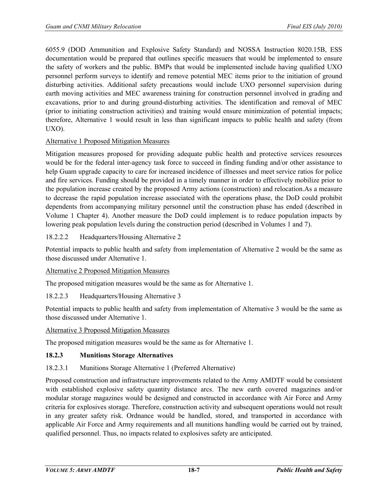6055.9 (DOD Ammunition and Explosive Safety Standard) and NOSSA Instruction 8020.15B, ESS documentation would be prepared that outlines specific measuers that would be implemented to ensure the safety of workers and the public. BMPs that would be implemented include having qualified UXO personnel perform surveys to identify and remove potential MEC items prior to the initiation of ground disturbing activities. Additional safety precautions would include UXO personnel supervision during earth moving activities and MEC awareness training for construction personnel involved in grading and excavations, prior to and during ground-disturbing activities. The identification and removal of MEC (prior to initiating construction activities) and training would ensure minimization of potential impacts; therefore, Alternative 1 would result in less than significant impacts to public health and safety (from UXO).

#### Alternative 1 Proposed Mitigation Measures

Mitigation measures proposed for providing adequate public health and protective services resources would be for the federal inter-agency task force to succeed in finding funding and/or other assistance to help Guam upgrade capacity to care for increased incidence of illnesses and meet service ratios for police and fire services. Funding should be provided in a timely manner in order to effectively mobilize prior to the population increase created by the proposed Army actions (construction) and relocation.As a measure to decrease the rapid population increase associated with the operations phase, the DoD could prohibit dependents from accompanying military personnel until the construction phase has ended (described in Volume 1 Chapter 4). Another measure the DoD could implement is to reduce population impacts by lowering peak population levels during the construction period (described in Volumes 1 and 7).

#### 18.2.2.2 Headquarters/Housing Alternative 2

Potential impacts to public health and safety from implementation of Alternative 2 would be the same as those discussed under Alternative 1.

#### Alternative 2 Proposed Mitigation Measures

The proposed mitigation measures would be the same as for Alternative 1.

#### 18.2.2.3 Headquarters/Housing Alternative 3

Potential impacts to public health and safety from implementation of Alternative 3 would be the same as those discussed under Alternative 1.

#### Alternative 3 Proposed Mitigation Measures

The proposed mitigation measures would be the same as for Alternative 1.

#### **18.2.3 Munitions Storage Alternatives**

#### 18.2.3.1 Munitions Storage Alternative 1 (Preferred Alternative)

Proposed construction and infrastructure improvements related to the Army AMDTF would be consistent with established explosive safety quantity distance arcs. The new earth covered magazines and/or modular storage magazines would be designed and constructed in accordance with Air Force and Army criteria for explosives storage. Therefore, construction activity and subsequent operations would not result in any greater safety risk. Ordnance would be handled, stored, and transported in accordance with applicable Air Force and Army requirements and all munitions handling would be carried out by trained, qualified personnel. Thus, no impacts related to explosives safety are anticipated.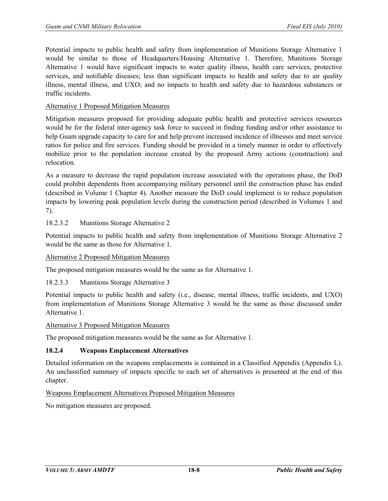Potential impacts to public health and safety from implementation of Munitions Storage Alternative 1 would be similar to those of Headquarters/Housing Alternative 1. Therefore, Munitions Storage Alternative 1 would have significant impacts to water quality illness, health care services, protective services, and notifiable diseases; less than significant impacts to health and safety due to air quality illness, mental illness, and UXO; and no impacts to health and safety due to hazardous substances or traffic incidents.

#### Alternative 1 Proposed Mitigation Measures

Mitigation measures proposed for providing adequate public health and protective services resources would be for the federal inter-agency task force to succeed in finding funding and/or other assistance to help Guam upgrade capacity to care for and help prevent increased incidence of illnesses and meet service ratios for police and fire services. Funding should be provided in a timely manner in order to effectively mobilize prior to the population increase created by the proposed Army actions (construction) and relocation.

As a measure to decrease the rapid population increase associated with the operations phase, the DoD could prohibit dependents from accompanying military personnel until the construction phase has ended (described in Volume 1 Chapter 4). Another measure the DoD could implement is to reduce population impacts by lowering peak population levels during the construction period (described in Volumes 1 and 7).

#### 18.2.3.2 Munitions Storage Alternative 2

Potential impacts to public health and safety from implementation of Munitions Storage Alternative 2 would be the same as those for Alternative 1.

#### Alternative 2 Proposed Mitigation Measures

The proposed mitigation measures would be the same as for Alternative 1.

18.2.3.3 Munitions Storage Alternative 3

Potential impacts to public health and safety (i.e., disease, mental illness, traffic incidents, and UXO) from implementation of Munitions Storage Alternative 3 would be the same as those discussed under Alternative 1.

#### Alternative 3 Proposed Mitigation Measures

The proposed mitigation measures would be the same as for Alternative 1.

#### **18.2.4 Weapons Emplacement Alternatives**

Detailed information on the weapons emplacements is contained in a Classified Appendix (Appendix L). An unclassified summary of impacts specific to each set of alternatives is presented at the end of this chapter.

#### Weapons Emplacement Alternatives Proposed Mitigation Measures

No mitigation measures are proposed.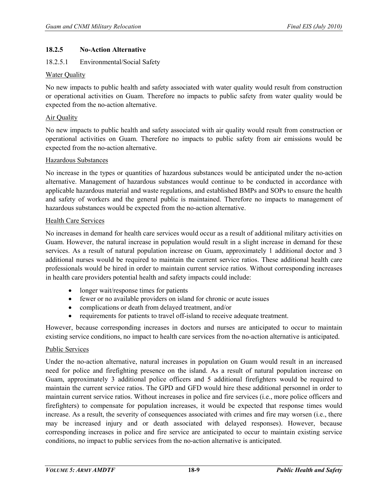#### **18.2.5 No-Action Alternative**

#### 18.2.5.1 Environmental/Social Safety

#### Water Quality

No new impacts to public health and safety associated with water quality would result from construction or operational activities on Guam. Therefore no impacts to public safety from water quality would be expected from the no-action alternative.

#### Air Quality

No new impacts to public health and safety associated with air quality would result from construction or operational activities on Guam. Therefore no impacts to public safety from air emissions would be expected from the no-action alternative.

#### Hazardous Substances

No increase in the types or quantities of hazardous substances would be anticipated under the no-action alternative. Management of hazardous substances would continue to be conducted in accordance with applicable hazardous material and waste regulations, and established BMPs and SOPs to ensure the health and safety of workers and the general public is maintained. Therefore no impacts to management of hazardous substances would be expected from the no-action alternative.

#### Health Care Services

No increases in demand for health care services would occur as a result of additional military activities on Guam. However, the natural increase in population would result in a slight increase in demand for these services. As a result of natural population increase on Guam, approximately 1 additional doctor and 3 additional nurses would be required to maintain the current service ratios. These additional health care professionals would be hired in order to maintain current service ratios. Without corresponding increases in health care providers potential health and safety impacts could include:

- longer wait/response times for patients
- fewer or no available providers on island for chronic or acute issues
- complications or death from delayed treatment, and/or
- requirements for patients to travel off-island to receive adequate treatment.

However, because corresponding increases in doctors and nurses are anticipated to occur to maintain existing service conditions, no impact to health care services from the no-action alternative is anticipated.

#### Public Services

Under the no-action alternative, natural increases in population on Guam would result in an increased need for police and firefighting presence on the island. As a result of natural population increase on Guam, approximately 3 additional police officers and 5 additional firefighters would be required to maintain the current service ratios. The GPD and GFD would hire these additional personnel in order to maintain current service ratios. Without increases in police and fire services (i.e., more police officers and firefighters) to compensate for population increases, it would be expected that response times would increase. As a result, the severity of consequences associated with crimes and fire may worsen (i.e., there may be increased injury and or death associated with delayed responses). However, because corresponding increases in police and fire service are anticipated to occur to maintain existing service conditions, no impact to public services from the no-action alternative is anticipated.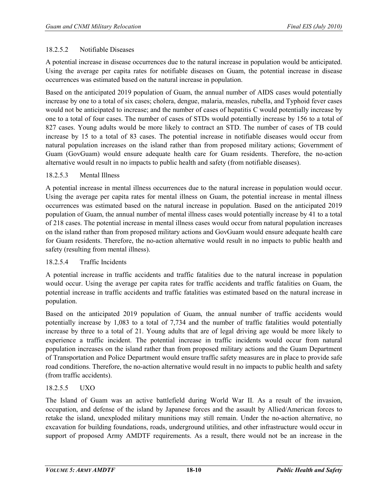#### 18.2.5.2 Notifiable Diseases

A potential increase in disease occurrences due to the natural increase in population would be anticipated. Using the average per capita rates for notifiable diseases on Guam, the potential increase in disease occurrences was estimated based on the natural increase in population.

Based on the anticipated 2019 population of Guam, the annual number of AIDS cases would potentially increase by one to a total of six cases; cholera, dengue, malaria, measles, rubella, and Typhoid fever cases would not be anticipated to increase; and the number of cases of hepatitis C would potentially increase by one to a total of four cases. The number of cases of STDs would potentially increase by 156 to a total of 827 cases. Young adults would be more likely to contract an STD. The number of cases of TB could increase by 15 to a total of 83 cases. The potential increase in notifiable diseases would occur from natural population increases on the island rather than from proposed military actions; Government of Guam (GovGuam) would ensure adequate health care for Guam residents. Therefore, the no-action alternative would result in no impacts to public health and safety (from notifiable diseases).

#### 18.2.5.3 Mental Illness

A potential increase in mental illness occurrences due to the natural increase in population would occur. Using the average per capita rates for mental illness on Guam, the potential increase in mental illness occurrences was estimated based on the natural increase in population. Based on the anticipated 2019 population of Guam, the annual number of mental illness cases would potentially increase by 41 to a total of 218 cases. The potential increase in mental illness cases would occur from natural population increases on the island rather than from proposed military actions and GovGuam would ensure adequate health care for Guam residents. Therefore, the no-action alternative would result in no impacts to public health and safety (resulting from mental illness).

#### 18.2.5.4 Traffic Incidents

A potential increase in traffic accidents and traffic fatalities due to the natural increase in population would occur. Using the average per capita rates for traffic accidents and traffic fatalities on Guam, the potential increase in traffic accidents and traffic fatalities was estimated based on the natural increase in population.

Based on the anticipated 2019 population of Guam, the annual number of traffic accidents would potentially increase by 1,083 to a total of 7,734 and the number of traffic fatalities would potentially increase by three to a total of 21. Young adults that are of legal driving age would be more likely to experience a traffic incident. The potential increase in traffic incidents would occur from natural population increases on the island rather than from proposed military actions and the Guam Department of Transportation and Police Department would ensure traffic safety measures are in place to provide safe road conditions. Therefore, the no-action alternative would result in no impacts to public health and safety (from traffic accidents).

#### 18.2.5.5 UXO

The Island of Guam was an active battlefield during World War II. As a result of the invasion, occupation, and defense of the island by Japanese forces and the assault by Allied/American forces to retake the island, unexploded military munitions may still remain. Under the no-action alternative, no excavation for building foundations, roads, underground utilities, and other infrastructure would occur in support of proposed Army AMDTF requirements. As a result, there would not be an increase in the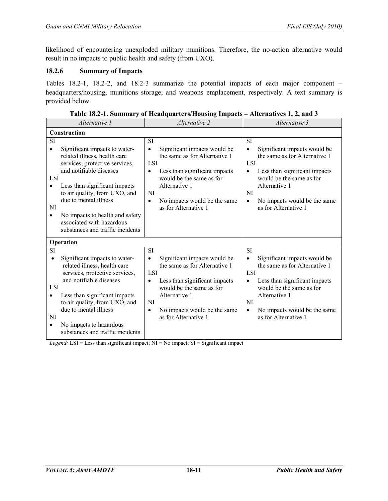likelihood of encountering unexploded military munitions. Therefore, the no-action alternative would result in no impacts to public health and safety (from UXO).

#### **18.2.6 Summary of Impacts**

Tables 18.2-1, 18.2-2, and 18.2-3 summarize the potential impacts of each major component – headquarters/housing, munitions storage, and weapons emplacement, respectively. A text summary is provided below.

| Alternative 1                                                                                                                                                                                                                                                                                                                                                                              | Alternative 2                                                                                                                                                                                                                                                                      | Alternative 3                                                                                                                                                                                                                                                        |
|--------------------------------------------------------------------------------------------------------------------------------------------------------------------------------------------------------------------------------------------------------------------------------------------------------------------------------------------------------------------------------------------|------------------------------------------------------------------------------------------------------------------------------------------------------------------------------------------------------------------------------------------------------------------------------------|----------------------------------------------------------------------------------------------------------------------------------------------------------------------------------------------------------------------------------------------------------------------|
| Construction                                                                                                                                                                                                                                                                                                                                                                               |                                                                                                                                                                                                                                                                                    |                                                                                                                                                                                                                                                                      |
| SI<br>Significant impacts to water-<br>$\bullet$<br>related illness, health care<br>services, protective services,<br>and notifiable diseases<br><b>LSI</b><br>Less than significant impacts<br>$\bullet$<br>to air quality, from UXO, and<br>due to mental illness<br>NI<br>No impacts to health and safety<br>$\bullet$<br>associated with hazardous<br>substances and traffic incidents | <b>SI</b><br>Significant impacts would be<br>$\bullet$<br>the same as for Alternative 1<br><b>LSI</b><br>Less than significant impacts<br>$\bullet$<br>would be the same as for<br>Alternative 1<br>NI<br>No impacts would be the same<br>$\bullet$<br>as for Alternative 1        | <b>SI</b><br>Significant impacts would be<br>$\bullet$<br>the same as for Alternative 1<br>LSI<br>Less than significant impacts<br>$\bullet$<br>would be the same as for<br>Alternative 1<br>NI<br>No impacts would be the same<br>$\bullet$<br>as for Alternative 1 |
| Operation                                                                                                                                                                                                                                                                                                                                                                                  |                                                                                                                                                                                                                                                                                    |                                                                                                                                                                                                                                                                      |
| SI<br>Significant impacts to water-<br>$\bullet$<br>related illness, health care<br>services, protective services,<br>and notifiable diseases<br><b>LSI</b><br>Less than significant impacts<br>$\bullet$<br>to air quality, from UXO, and<br>due to mental illness<br>NI<br>No impacts to hazardous<br>$\bullet$<br>substances and traffic incidents                                      | <b>SI</b><br>Significant impacts would be<br>$\bullet$<br>the same as for Alternative 1<br><b>LSI</b><br>Less than significant impacts<br>$\bullet$<br>would be the same as for<br>Alternative 1<br><b>NI</b><br>No impacts would be the same<br>$\bullet$<br>as for Alternative 1 | <b>SI</b><br>Significant impacts would be<br>the same as for Alternative 1<br><b>LSI</b><br>Less than significant impacts<br>$\bullet$<br>would be the same as for<br>Alternative 1<br>NI<br>No impacts would be the same<br>$\bullet$<br>as for Alternative 1       |

**Table 18.2-1. Summary of Headquarters/Housing Impacts – Alternatives 1, 2, and 3** 

*Legend:* LSI = Less than significant impact; NI = No impact; SI = Significant impact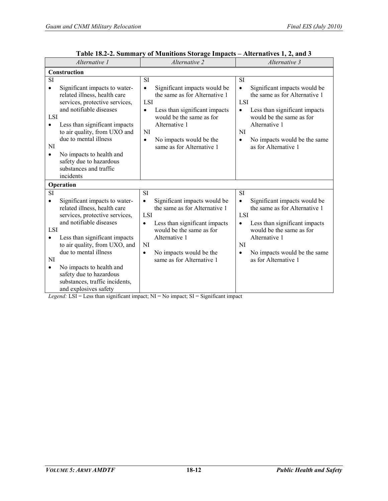| Alternative 1                                                                                                                                                                                                                                                                                                                                                                                                                                                            | Alternative 2                                                                                                                                                                                                                                                                                                                                                                                                                   | Alternative 3                                                                                                                                                                                                                                                               |
|--------------------------------------------------------------------------------------------------------------------------------------------------------------------------------------------------------------------------------------------------------------------------------------------------------------------------------------------------------------------------------------------------------------------------------------------------------------------------|---------------------------------------------------------------------------------------------------------------------------------------------------------------------------------------------------------------------------------------------------------------------------------------------------------------------------------------------------------------------------------------------------------------------------------|-----------------------------------------------------------------------------------------------------------------------------------------------------------------------------------------------------------------------------------------------------------------------------|
| Construction                                                                                                                                                                                                                                                                                                                                                                                                                                                             |                                                                                                                                                                                                                                                                                                                                                                                                                                 |                                                                                                                                                                                                                                                                             |
| <b>SI</b><br>Significant impacts to water-<br>$\bullet$<br>related illness, health care<br>services, protective services,<br>and notifiable diseases<br>LSI<br>Less than significant impacts<br>$\bullet$<br>to air quality, from UXO and<br>due to mental illness<br>NI<br>No impacts to health and<br>$\bullet$<br>safety due to hazardous<br>substances and traffic<br>incidents                                                                                      | <b>SI</b><br>Significant impacts would be<br>$\bullet$<br>the same as for Alternative 1<br>LSI<br>Less than significant impacts<br>$\bullet$<br>would be the same as for<br>Alternative 1<br>NI<br>No impacts would be the<br>$\bullet$<br>same as for Alternative 1                                                                                                                                                            | <b>SI</b><br>Significant impacts would be<br>$\bullet$<br>the same as for Alternative 1<br>LSI<br>Less than significant impacts<br>$\bullet$<br>would be the same as for<br>Alternative 1<br>NI<br>No impacts would be the same<br>$\bullet$<br>as for Alternative 1        |
| Operation                                                                                                                                                                                                                                                                                                                                                                                                                                                                |                                                                                                                                                                                                                                                                                                                                                                                                                                 |                                                                                                                                                                                                                                                                             |
| SI<br>Significant impacts to water-<br>$\bullet$<br>related illness, health care<br>services, protective services,<br>and notifiable diseases<br>LSI<br>Less than significant impacts<br>$\bullet$<br>to air quality, from UXO, and<br>due to mental illness<br>NI<br>No impacts to health and<br>$\bullet$<br>safety due to hazardous<br>substances, traffic incidents,<br>and explosives safety<br>$I_1, \ldots, J_r$ $I_1 \circ I_2 = I_1$ and there is an if and the | SI<br>Significant impacts would be<br>$\bullet$<br>the same as for Alternative 1<br><b>LSI</b><br>Less than significant impacts<br>$\bullet$<br>would be the same as for<br>Alternative 1<br><b>NI</b><br>No impacts would be the<br>$\bullet$<br>same as for Alternative 1<br>$\mathbf{A}$ . MI $\mathbf{A}$ M <sub>a</sub> $\mathbf{A}$<br>$\mathbf{r}$ and $\mathbf{r} = \mathbf{r}$ and $\mathbf{r} = \mathbf{r}$<br>للمقاط | <b>SI</b><br>Significant impacts would be<br>$\bullet$<br>the same as for Alternative 1<br>LSI<br>Less than significant impacts<br>$\bullet$<br>would be the same as for<br>Alternative 1<br><b>NI</b><br>No impacts would be the same<br>$\bullet$<br>as for Alternative 1 |

| Table 18.2-2. Summary of Munitions Storage Impacts - Alternatives 1, 2, and 3 |
|-------------------------------------------------------------------------------|
|-------------------------------------------------------------------------------|

*Legend:* LSI = Less than significant impact; NI = No impact; SI = Significant impact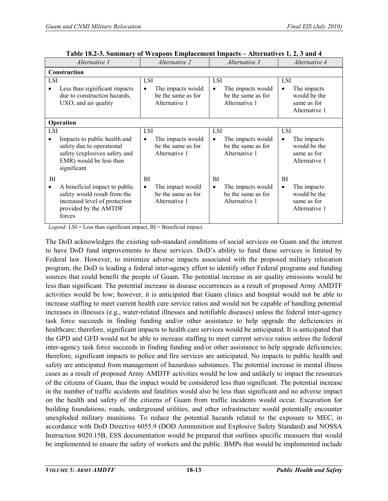| Alternative 1                                                                                                                        | Alternative 2                                                               | Alternative 3                                                                       | Alternative 4                                                                   |
|--------------------------------------------------------------------------------------------------------------------------------------|-----------------------------------------------------------------------------|-------------------------------------------------------------------------------------|---------------------------------------------------------------------------------|
| Construction                                                                                                                         |                                                                             |                                                                                     |                                                                                 |
| <b>LSI</b><br>Less than significant impacts<br>due to construction hazards,<br>UXO, and air quality                                  | <b>LSI</b><br>The impacts would<br>٠<br>be the same as for<br>Alternative 1 | <b>LSI</b><br>The impacts would<br>$\bullet$<br>be the same as for<br>Alternative 1 | LSI<br>The impacts<br>$\bullet$<br>would be the<br>same as for<br>Alternative 1 |
| Operation                                                                                                                            |                                                                             |                                                                                     |                                                                                 |
| <b>LSI</b>                                                                                                                           | <b>LSI</b>                                                                  | LSI                                                                                 | <b>LSI</b>                                                                      |
| Impacts to public health and<br>safety due to operational<br>safety (explosives safety and<br>EMR) would be less than<br>significant | The impacts would<br>٠<br>be the same as for<br>Alternative 1               | The impacts would<br>$\bullet$<br>be the same as for<br>Alternative 1               | The impacts<br>$\bullet$<br>would be the<br>same as for<br>Alternative 1        |
| BI                                                                                                                                   | BI                                                                          | BI                                                                                  | BI                                                                              |
| A beneficial impact to public<br>safety would result from the<br>increased level of protection<br>provided by the AMTDF<br>forces    | The impact would<br>٠<br>be the same as for<br>Alternative 1                | The impacts would<br>$\bullet$<br>be the same as for<br>Alternative 1               | The impacts<br>$\bullet$<br>would be the<br>same as for<br>Alternative 1        |

**Table 18.2-3. Summary of Weapons Emplacement Impacts – Alternatives 1, 2, 3 and 4**

*Legend:* LSI = Less than significant impact, BI = Beneficial impact.

The DoD acknowledges the existing sub-standard conditions of social services on Guam and the interest to have DoD fund improvements to these services. DoD's ability to fund these services is limited by Federal law. However, to minimize adverse impacts associated with the proposed military relocation program, the DoD is leading a federal inter-agency effort to identify other Federal programs and funding sources that could benefit the people of Guam. The potential increase in air quality emissions would be less than significant. The potential increase in disease occurrences as a result of proposed Army AMDTF activities would be low; however, it is anticipated that Guam clinics and hospital would not be able to increase staffing to meet current health care service ratios and would not be capable of handling potential increases in illnesses (e.g., water-related illnesses and notifiable diseases) unless the federal inter-agency task force succeeds in finding funding and/or other assistance to help upgrade the deficiencies in healthcare; therefore, significant impacts to health care services would be anticipated. It is anticipated that the GPD and GFD would not be able to increase staffing to meet current service ratios unless the federal inter-agency task force succeeds in finding funding and/or other assistance to help upgrade deficiencies; therefore, significant impacts to police and fire services are anticipated. No impacts to public health and safety are anticipated from management of hazardous substances. The potential increase in mental illness cases as a result of proposed Army AMDTF activities would be low and unlikely to impact the resources of the citizens of Guam, thus the impact would be considered less than significant. The potential increase in the number of traffic accidents and fatalities would also be less than significant and no adverse impact on the health and safety of the citizens of Guam from traffic incidents would occur. Excavation for building foundations, roads, underground utilities, and other infrastructure would potentially encounter unexploded military munitions. To reduce the potential hazards related to the exposure to MEC, in accordance with DoD Directive 6055.9 (DOD Ammunition and Explosive Safety Standard) and NOSSA Instruction 8020.15B, ESS documentation would be prepared that outlines specific measuers that would be implemented to ensure the safety of workers and the public. BMPs that would be implemented include